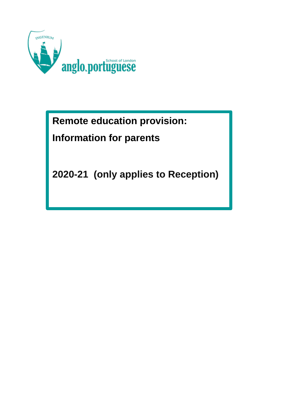

**Remote education provision:** 

# **Information for parents**

**2020-21 (only applies to Reception)**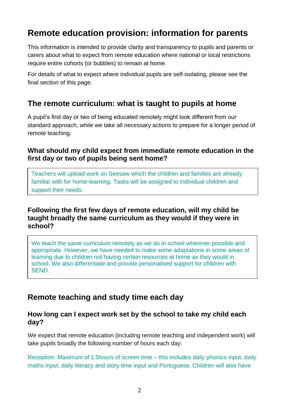# **Remote education provision: information for parents**

This information is intended to provide clarity and transparency to pupils and parents or carers about what to expect from remote education where national or local restrictions require entire cohorts (or bubbles) to remain at home.

For details of what to expect where individual pupils are self-isolating, please see the final section of this page.

## **The remote curriculum: what is taught to pupils at home**

A pupil's first day or two of being educated remotely might look different from our standard approach, while we take all necessary actions to prepare for a longer period of remote teaching.

#### **What should my child expect from immediate remote education in the first day or two of pupils being sent home?**

Teachers will upload work on Seesaw which the children and families are already familiar with for home-learning. Tasks will be assigned to individual children and support their needs.

#### **Following the first few days of remote education, will my child be taught broadly the same curriculum as they would if they were in school?**

We teach the same curriculum remotely as we do in school wherever possible and appropriate. However, we have needed to make some adaptations in some areas of learning due to children not having certain resources at home as they would in school. We also differentiate and provide personalised support for children with **SEND.** 

## **Remote teaching and study time each day**

#### **How long can I expect work set by the school to take my child each day?**

We expect that remote education (including remote teaching and independent work) will take pupils broadly the following number of hours each day:

Reception: Maximum of 1.5hours of screen time – this includes daily phonics input, daily maths input, daily literacy and story time input and Portuguese. Children will also have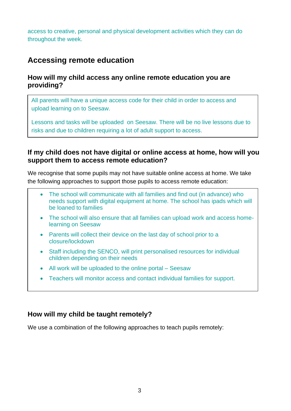access to creative, personal and physical development activities which they can do throughout the week.

## **Accessing remote education**

#### **How will my child access any online remote education you are providing?**

All parents will have a unique access code for their child in order to access and upload learning on to Seesaw.

Lessons and tasks will be uploaded on Seesaw. There will be no live lessons due to risks and due to children requiring a lot of adult support to access.

#### **If my child does not have digital or online access at home, how will you support them to access remote education?**

We recognise that some pupils may not have suitable online access at home. We take the following approaches to support those pupils to access remote education:

- The school will communicate with all families and find out (in advance) who needs support with digital equipment at home. The school has ipads which will be loaned to families
- The school will also ensure that all families can upload work and access homelearning on Seesaw
- Parents will collect their device on the last day of school prior to a closure/lockdown
- Staff including the SENCO, will print personalised resources for individual children depending on their needs
- All work will be uploaded to the online portal Seesaw
- Teachers will monitor access and contact individual families for support.

#### **How will my child be taught remotely?**

We use a combination of the following approaches to teach pupils remotely: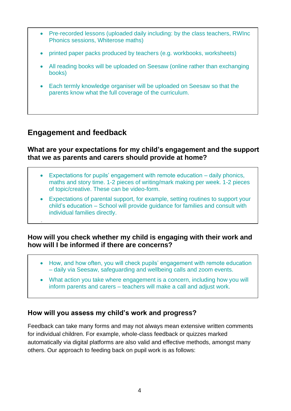- Pre-recorded lessons (uploaded daily including: by the class teachers, RWInc Phonics sessions, Whiterose maths)
- printed paper packs produced by teachers (e.g. workbooks, worksheets)
- All reading books will be uploaded on Seesaw (online rather than exchanging books)
- Each termly knowledge organiser will be uploaded on Seesaw so that the parents know what the full coverage of the curriculum.

# **Engagement and feedback**

•

#### **What are your expectations for my child's engagement and the support that we as parents and carers should provide at home?**

- Expectations for pupils' engagement with remote education daily phonics, maths and story time. 1-2 pieces of writing/mark making per week. 1-2 pieces of topic/creative. These can be video-form.
- Expectations of parental support, for example, setting routines to support your child's education – School will provide guidance for families and consult with individual families directly.

#### **How will you check whether my child is engaging with their work and how will I be informed if there are concerns?**

- How, and how often, you will check pupils' engagement with remote education – daily via Seesaw, safeguarding and wellbeing calls and zoom events.
- What action you take where engagement is a concern, including how you will inform parents and carers – teachers will make a call and adjust work.

### **How will you assess my child's work and progress?**

Feedback can take many forms and may not always mean extensive written comments for individual children. For example, whole-class feedback or quizzes marked automatically via digital platforms are also valid and effective methods, amongst many others. Our approach to feeding back on pupil work is as follows: